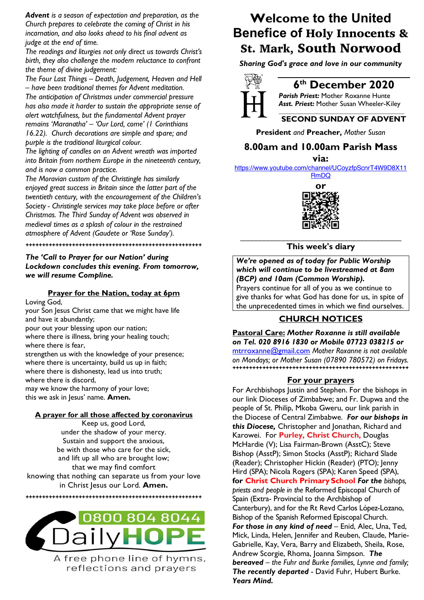*Advent is a season of expectation and preparation, as the Church prepares to celebrate the coming of Christ in his incarnation, and also looks ahead to his final advent as judge at the end of time.* 

*The readings and liturgies not only direct us towards Christ's birth, they also challenge the modern reluctance to confront the theme of divine judgement:*

*The Four Last Things – Death, Judgement, Heaven and Hell – have been traditional themes for Advent meditation. The anticipation of Christmas under commercial pressure has also made it harder to sustain the appropriate sense of alert watchfulness, but the fundamental Advent prayer remains 'Maranatha' – 'Our Lord, come' (1 Corinthians 16.22). Church decorations are simple and spare; and purple is the traditional liturgical colour.* 

*The lighting of candles on an Advent wreath was imported into Britain from northern Europe in the nineteenth century, and is now a common practice.* 

*The Moravian custom of the Christingle has similarly enjoyed great success in Britain since the latter part of the twentieth century, with the encouragement of the Children's Society - Christingle services may take place before or after Christmas. The Third Sunday of Advent was observed in medieval times as a splash of colour in the restrained atmosphere of Advent (Gaudete or 'Rose Sunday').*

### *The 'Call to Prayer for our Nation' during Lockdown concludes this evening. From tomorrow, we will resume Compline.*

**+++++++++++++++++++++++++++++++++++++++++++++++++++++**

### **Prayer for the Nation, today at 6pm**

Loving God,

your Son Jesus Christ came that we might have life and have it abundantly;

pour out your blessing upon our nation; where there is illness, bring your healing touch; where there is fear,

strengthen us with the knowledge of your presence; where there is uncertainty, build us up in faith; where there is dishonesty, lead us into truth; where there is discord, may we know the harmony of your love; this we ask in Jesus' name. **Amen.**

**A prayer for all those affected by coronavirus**

Keep us, good Lord, under the shadow of your mercy. Sustain and support the anxious, be with those who care for the sick, and lift up all who are brought low; that we may find comfort knowing that nothing can separate us from your love in Christ Jesus our Lord. **Amen.**

**+++++++++++++++++++++++++++++++++++++++++++++++++++++**



A free phone line of hymns, reflections and prayers

## **Welcome to the United Benefice of** Holy Innocents & St. Mark, South Norwood

*Sharing God's grace and love in our community*



### **6th December 2020**

*Parish Priest:* Mother Roxanne Hunte *Asst. Priest:* Mother Susan Wheeler-Kiley *\_\_\_\_\_\_\_\_\_\_\_\_\_\_\_\_\_\_\_\_\_\_\_\_\_\_\_\_\_\_\_\_\_\_\_\_\_\_\_\_\_\_\_\_*

### **SECOND SUNDAY OF ADVENT**

**President** *and* **Preacher,** *Mother Susan*

### **8.00am and 10.00am Parish Mass**

**via:** 

https://www.youtube.com/channel/UCoyzfpScnrT4W9D8X11

RmDQ



**This week's diary**

*We're opened as of today for Public Worship which will continue to be livestreamed at 8am (BCP) and 10am (Common Worship).*  Prayers continue for all of you as we continue to

give thanks for what God has done for us, in spite of the unprecedented times in which we find ourselves.

### **CHURCH NOTICES**

**Pastoral Care:** *Mother Roxanne is still available on Tel. 020 8916 1830 or Mobile 07723 038215 or* mtrroxanne@gmail.com *Mother Roxanne is not available* 

*on Mondays; or Mother Susan (07890 780572) on Fridays.* **+++++++++++++++++++++++++++++++++++++++++++++++++++++**

### **For your prayers**

For Archbishops Justin and Stephen. For the bishops in our link Dioceses of Zimbabwe; and Fr. Dupwa and the people of St. Philip, Mkoba Gweru, our link parish in the Diocese of Central Zimbabwe. *For our bishops in this Diocese,* Christopher and Jonathan, Richard and Karowei. For **Purley, Christ Church,** Douglas McHardie (V); Lisa Fairman-Brown (AsstC); Steve Bishop (AsstP); Simon Stocks (AsstP); Richard Slade (Reader); Christopher Hickin (Reader) (PTO); Jenny Hird (SPA); Nicola Rogers (SPA); Karen Speed (SPA), **for Christ Church Primary School** *For the bishops, priests and people in the* Reformed Episcopal Church of Spain (Extra- Provincial to the Archbishop of Canterbury), and for the Rt Revd Carlos López-Lozano, Bishop of the Spanish Reformed Episcopal Church. *For those in any kind of need* – Enid, Alec, Una, Ted, Mick, Linda, Helen, Jennifer and Reuben, Claude, Marie-Gabrielle, Kay, Vera, Barry and Elizabeth, Sheila, Rose, Andrew Scorgie, Rhoma, Joanna Simpson. *The bereaved – the Fuhr and Burke families, Lynne and family; The recently departed* - David Fuhr, Hubert Burke. *Years Mind.*